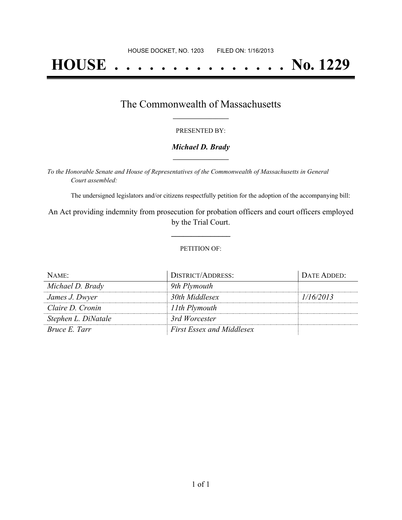# **HOUSE . . . . . . . . . . . . . . . No. 1229**

## The Commonwealth of Massachusetts **\_\_\_\_\_\_\_\_\_\_\_\_\_\_\_\_\_**

#### PRESENTED BY:

#### *Michael D. Brady* **\_\_\_\_\_\_\_\_\_\_\_\_\_\_\_\_\_**

*To the Honorable Senate and House of Representatives of the Commonwealth of Massachusetts in General Court assembled:*

The undersigned legislators and/or citizens respectfully petition for the adoption of the accompanying bill:

An Act providing indemnity from prosecution for probation officers and court officers employed by the Trial Court.

**\_\_\_\_\_\_\_\_\_\_\_\_\_\_\_**

#### PETITION OF:

| NAME:               | <b>DISTRICT/ADDRESS:</b>         | DATE ADDED: |
|---------------------|----------------------------------|-------------|
| Michael D. Brady    | 9th Plymouth                     |             |
| James J. Dwyer      | 30th Middlesex                   | 1/16/2013   |
| Claire D. Cronin    | 11th Plymouth                    |             |
| Stephen L. DiNatale | 3rd Worcester                    |             |
| Bruce E. Tarr       | <b>First Essex and Middlesex</b> |             |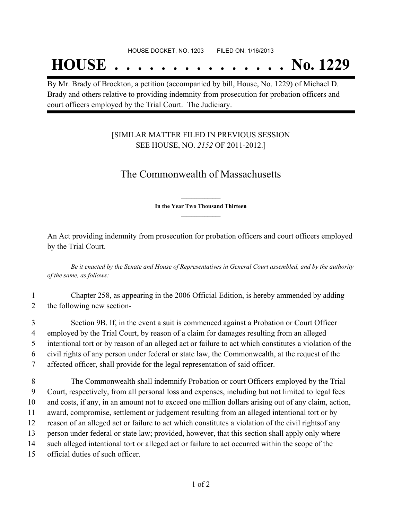## **HOUSE . . . . . . . . . . . . . . . No. 1229**

By Mr. Brady of Brockton, a petition (accompanied by bill, House, No. 1229) of Michael D. Brady and others relative to providing indemnity from prosecution for probation officers and court officers employed by the Trial Court. The Judiciary.

### [SIMILAR MATTER FILED IN PREVIOUS SESSION SEE HOUSE, NO. *2152* OF 2011-2012.]

## The Commonwealth of Massachusetts

**\_\_\_\_\_\_\_\_\_\_\_\_\_\_\_ In the Year Two Thousand Thirteen \_\_\_\_\_\_\_\_\_\_\_\_\_\_\_**

An Act providing indemnity from prosecution for probation officers and court officers employed by the Trial Court.

Be it enacted by the Senate and House of Representatives in General Court assembled, and by the authority *of the same, as follows:*

1 Chapter 258, as appearing in the 2006 Official Edition, is hereby ammended by adding 2 the following new section-

 Section 9B. If, in the event a suit is commenced against a Probation or Court Officer employed by the Trial Court, by reason of a claim for damages resulting from an alleged intentional tort or by reason of an alleged act or failure to act which constitutes a violation of the civil rights of any person under federal or state law, the Commonwealth, at the request of the affected officer, shall provide for the legal representation of said officer.

 The Commonwealth shall indemnify Probation or court Officers employed by the Trial Court, respectively, from all personal loss and expenses, including but not limited to legal fees and costs, if any, in an amount not to exceed one million dollars arising out of any claim, action, award, compromise, settlement or judgement resulting from an alleged intentional tort or by reason of an alleged act or failure to act which constitutes a violation of the civil rightsof any person under federal or state law; provided, however, that this section shall apply only where such alleged intentional tort or alleged act or failure to act occurred within the scope of the official duties of such officer.